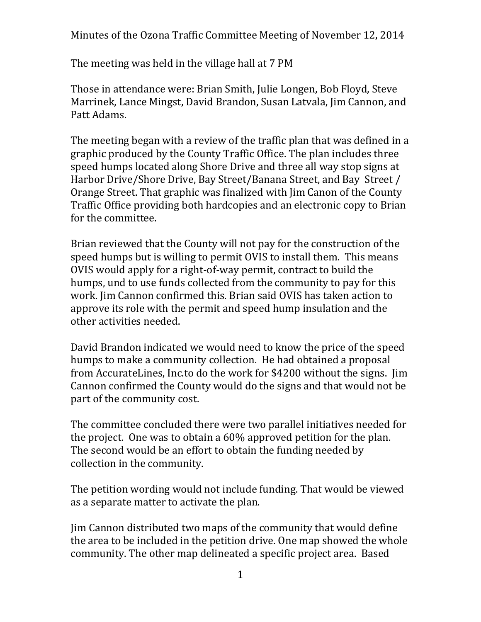Minutes of the Ozona Traffic Committee Meeting of November 12, 2014

The meeting was held in the village hall at 7 PM

Those in attendance were: Brian Smith, Julie Longen, Bob Floyd, Steve Marrinek, Lance Mingst, David Brandon, Susan Latvala, Jim Cannon, and Patt Adams.

The meeting began with a review of the traffic plan that was defined in a graphic produced by the County Traffic Office. The plan includes three speed humps located along Shore Drive and three all way stop signs at Harbor Drive/Shore Drive, Bay Street/Banana Street, and Bay Street / Orange Street. That graphic was finalized with Jim Canon of the County Traffic Office providing both hardcopies and an electronic copy to Brian for the committee.

Brian reviewed that the County will not pay for the construction of the speed humps but is willing to permit OVIS to install them. This means OVIS would apply for a right-of-way permit, contract to build the humps, und to use funds collected from the community to pay for this work. Jim Cannon confirmed this. Brian said OVIS has taken action to approve its role with the permit and speed hump insulation and the other activities needed.

David Brandon indicated we would need to know the price of the speed humps to make a community collection. He had obtained a proposal from AccurateLines, Inc.to do the work for \$4200 without the signs. Jim Cannon confirmed the County would do the signs and that would not be part of the community cost.

The committee concluded there were two parallel initiatives needed for the project. One was to obtain a 60% approved petition for the plan. The second would be an effort to obtain the funding needed by collection in the community.

The petition wording would not include funding. That would be viewed as a separate matter to activate the plan.

Jim Cannon distributed two maps of the community that would define the area to be included in the petition drive. One map showed the whole community. The other map delineated a specific project area. Based